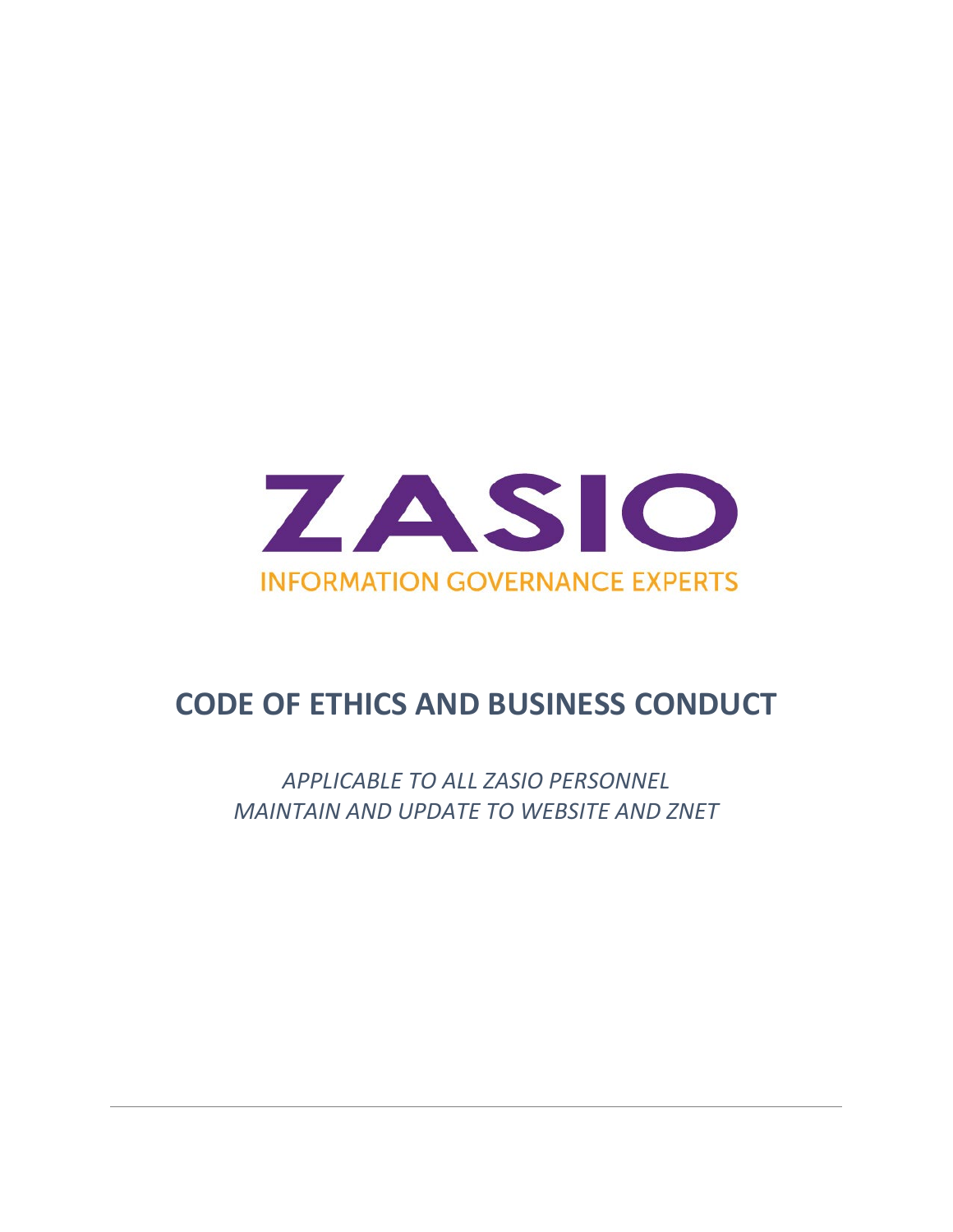

### **CODE OF ETHICS AND BUSINESS CONDUCT**

*APPLICABLE TO ALL ZASIO PERSONNEL MAINTAIN AND UPDATE TO WEBSITE AND ZNET*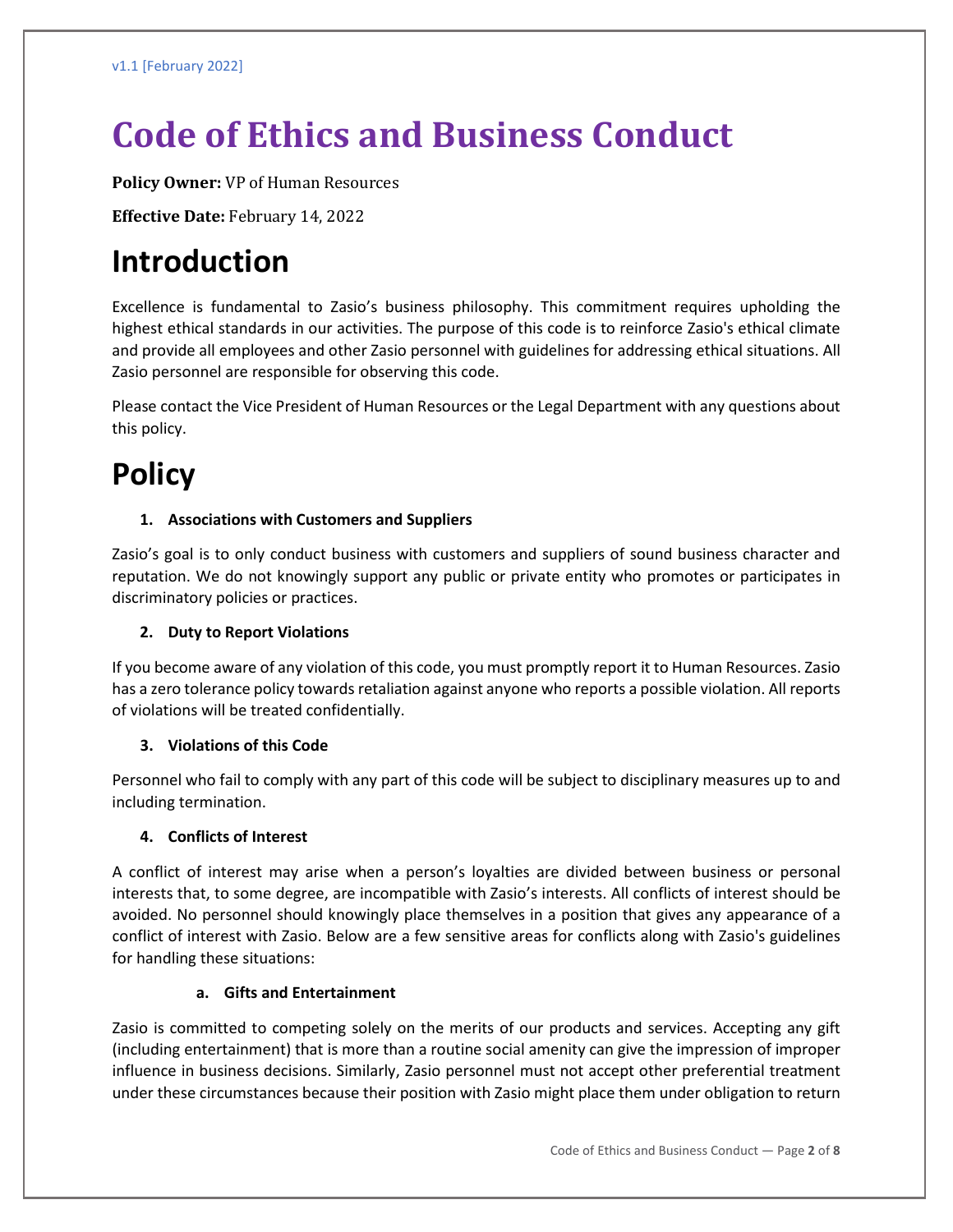# **Code of Ethics and Business Conduct**

**Policy Owner:** VP of Human Resources

**Effective Date:** February 14, 2022

### **Introduction**

Excellence is fundamental to Zasio's business philosophy. This commitment requires upholding the highest ethical standards in our activities. The purpose of this code is to reinforce Zasio's ethical climate and provide all employees and other Zasio personnel with guidelines for addressing ethical situations. All Zasio personnel are responsible for observing this code.

Please contact the Vice President of Human Resources or the Legal Department with any questions about this policy.

## **Policy**

#### **1. Associations with Customers and Suppliers**

Zasio's goal is to only conduct business with customers and suppliers of sound business character and reputation. We do not knowingly support any public or private entity who promotes or participates in discriminatory policies or practices.

#### **2. Duty to Report Violations**

If you become aware of any violation of this code, you must promptly report it to Human Resources. Zasio has a zero tolerance policy towards retaliation against anyone who reports a possible violation. All reports of violations will be treated confidentially.

#### **3. Violations of this Code**

Personnel who fail to comply with any part of this code will be subject to disciplinary measures up to and including termination.

#### **4. Conflicts of Interest**

A conflict of interest may arise when a person's loyalties are divided between business or personal interests that, to some degree, are incompatible with Zasio's interests. All conflicts of interest should be avoided. No personnel should knowingly place themselves in a position that gives any appearance of a conflict of interest with Zasio. Below are a few sensitive areas for conflicts along with Zasio's guidelines for handling these situations:

#### **a. Gifts and Entertainment**

Zasio is committed to competing solely on the merits of our products and services. Accepting any gift (including entertainment) that is more than a routine social amenity can give the impression of improper influence in business decisions. Similarly, Zasio personnel must not accept other preferential treatment under these circumstances because their position with Zasio might place them under obligation to return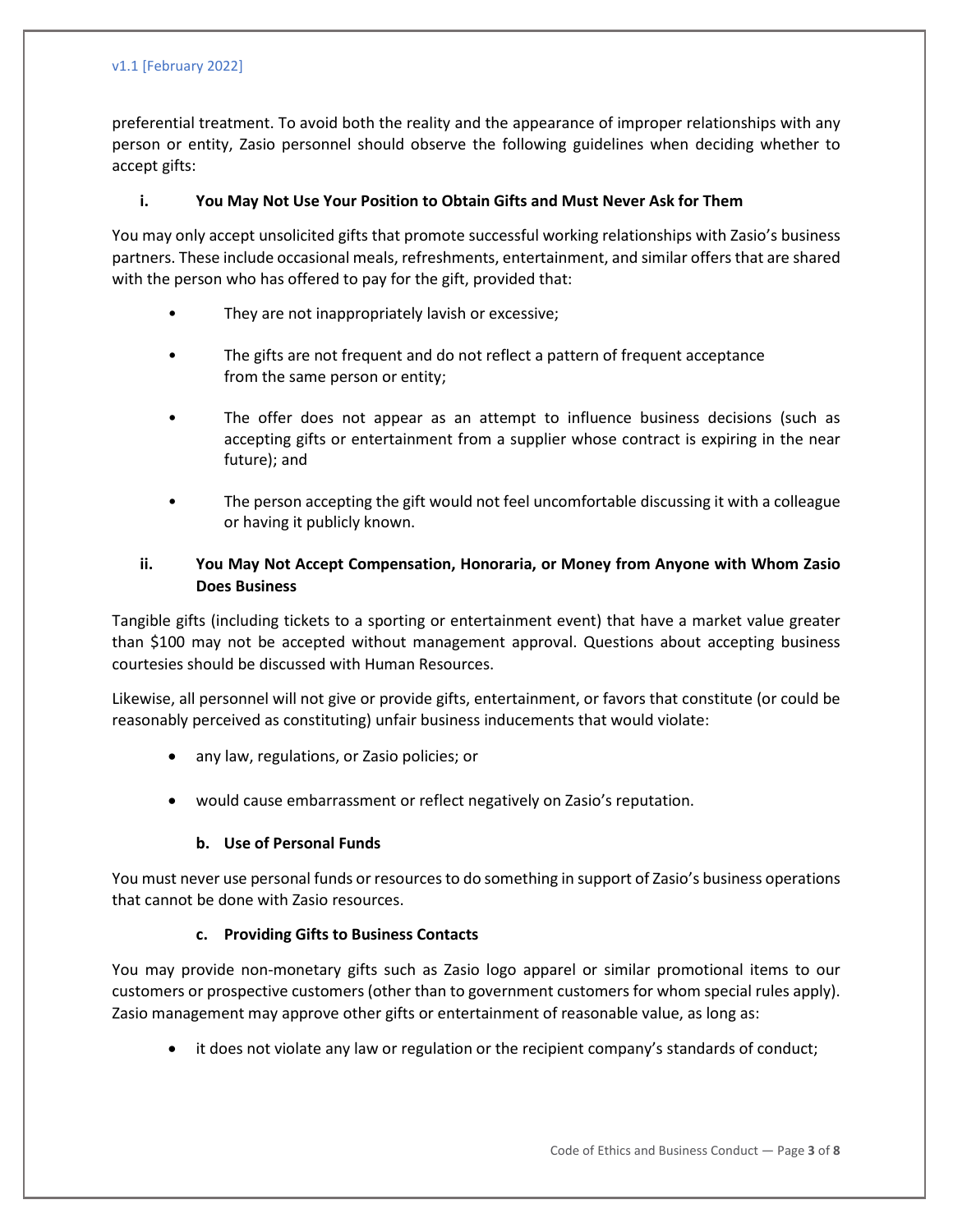#### v1.1 [February 2022]

preferential treatment. To avoid both the reality and the appearance of improper relationships with any person or entity, Zasio personnel should observe the following guidelines when deciding whether to accept gifts:

#### **i. You May Not Use Your Position to Obtain Gifts and Must Never Ask for Them**

You may only accept unsolicited gifts that promote successful working relationships with Zasio's business partners. These include occasional meals, refreshments, entertainment, and similar offers that are shared with the person who has offered to pay for the gift, provided that:

- They are not inappropriately lavish or excessive;
- The gifts are not frequent and do not reflect a pattern of frequent acceptance from the same person or entity;
- The offer does not appear as an attempt to influence business decisions (such as accepting gifts or entertainment from a supplier whose contract is expiring in the near future); and
- The person accepting the gift would not feel uncomfortable discussing it with a colleague or having it publicly known.

#### **ii. You May Not Accept Compensation, Honoraria, or Money from Anyone with Whom Zasio Does Business**

Tangible gifts (including tickets to a sporting or entertainment event) that have a market value greater than \$100 may not be accepted without management approval. Questions about accepting business courtesies should be discussed with Human Resources.

Likewise, all personnel will not give or provide gifts, entertainment, or favors that constitute (or could be reasonably perceived as constituting) unfair business inducements that would violate:

- any law, regulations, or Zasio policies; or
- would cause embarrassment or reflect negatively on Zasio's reputation.

#### **b. Use of Personal Funds**

You must never use personal funds or resources to do something in support of Zasio's business operations that cannot be done with Zasio resources.

#### **c. Providing Gifts to Business Contacts**

You may provide non-monetary gifts such as Zasio logo apparel or similar promotional items to our customers or prospective customers (other than to government customers for whom special rules apply). Zasio management may approve other gifts or entertainment of reasonable value, as long as:

• it does not violate any law or regulation or the recipient company's standards of conduct;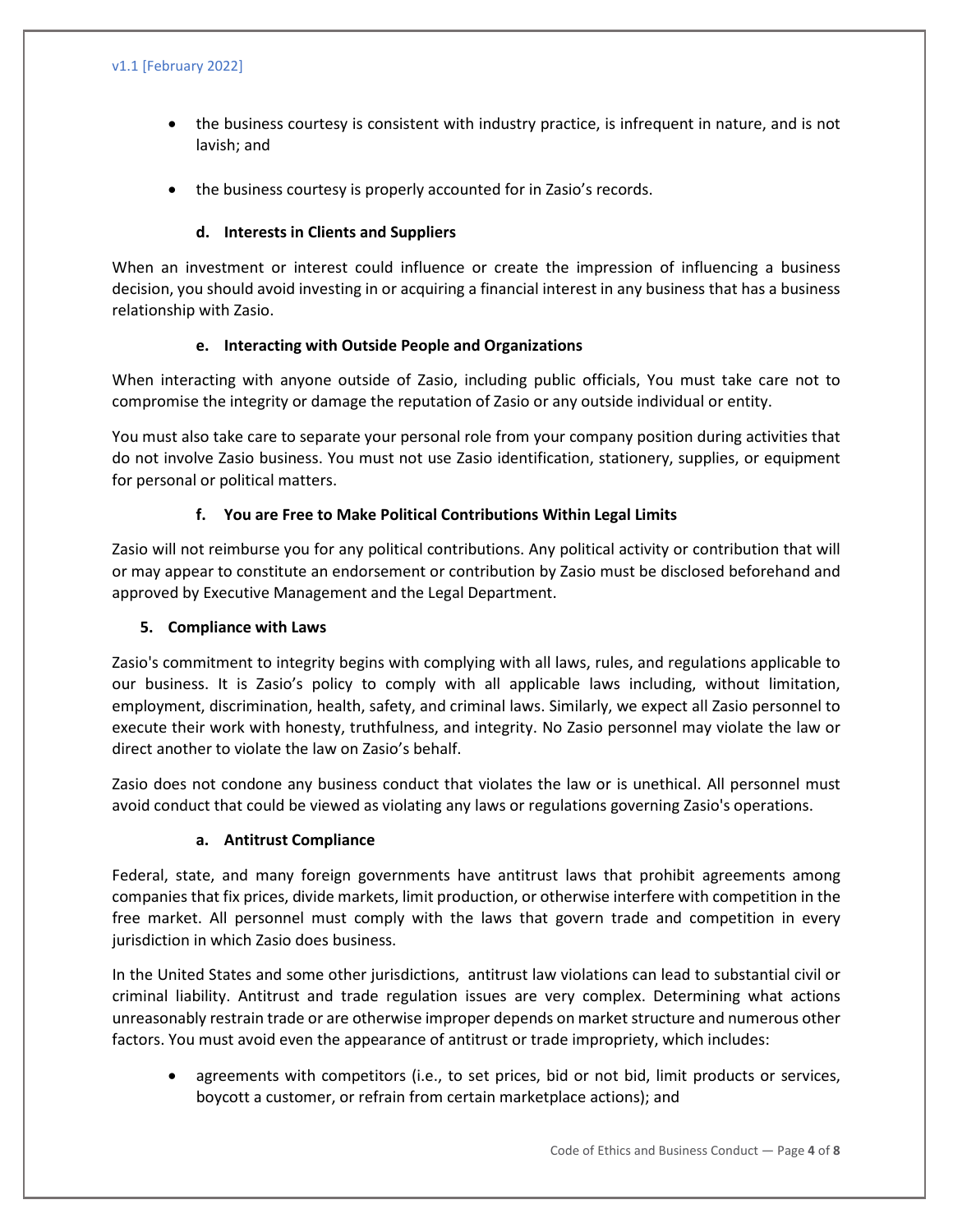- the business courtesy is consistent with industry practice, is infrequent in nature, and is not lavish; and
- the business courtesy is properly accounted for in Zasio's records.

#### **d. Interests in Clients and Suppliers**

When an investment or interest could influence or create the impression of influencing a business decision, you should avoid investing in or acquiring a financial interest in any business that has a business relationship with Zasio.

#### **e. Interacting with Outside People and Organizations**

When interacting with anyone outside of Zasio, including public officials, You must take care not to compromise the integrity or damage the reputation of Zasio or any outside individual or entity.

You must also take care to separate your personal role from your company position during activities that do not involve Zasio business. You must not use Zasio identification, stationery, supplies, or equipment for personal or political matters.

#### **f. You are Free to Make Political Contributions Within Legal Limits**

Zasio will not reimburse you for any political contributions. Any political activity or contribution that will or may appear to constitute an endorsement or contribution by Zasio must be disclosed beforehand and approved by Executive Management and the Legal Department.

#### **5. Compliance with Laws**

Zasio's commitment to integrity begins with complying with all laws, rules, and regulations applicable to our business. It is Zasio's policy to comply with all applicable laws including, without limitation, employment, discrimination, health, safety, and criminal laws. Similarly, we expect all Zasio personnel to execute their work with honesty, truthfulness, and integrity. No Zasio personnel may violate the law or direct another to violate the law on Zasio's behalf.

Zasio does not condone any business conduct that violates the law or is unethical. All personnel must avoid conduct that could be viewed as violating any laws or regulations governing Zasio's operations.

#### **a. Antitrust Compliance**

Federal, state, and many foreign governments have antitrust laws that prohibit agreements among companies that fix prices, divide markets, limit production, or otherwise interfere with competition in the free market. All personnel must comply with the laws that govern trade and competition in every jurisdiction in which Zasio does business.

In the United States and some other jurisdictions, antitrust law violations can lead to substantial civil or criminal liability. Antitrust and trade regulation issues are very complex. Determining what actions unreasonably restrain trade or are otherwise improper depends on market structure and numerous other factors. You must avoid even the appearance of antitrust or trade impropriety, which includes:

• agreements with competitors (i.e., to set prices, bid or not bid, limit products or services, boycott a customer, or refrain from certain marketplace actions); and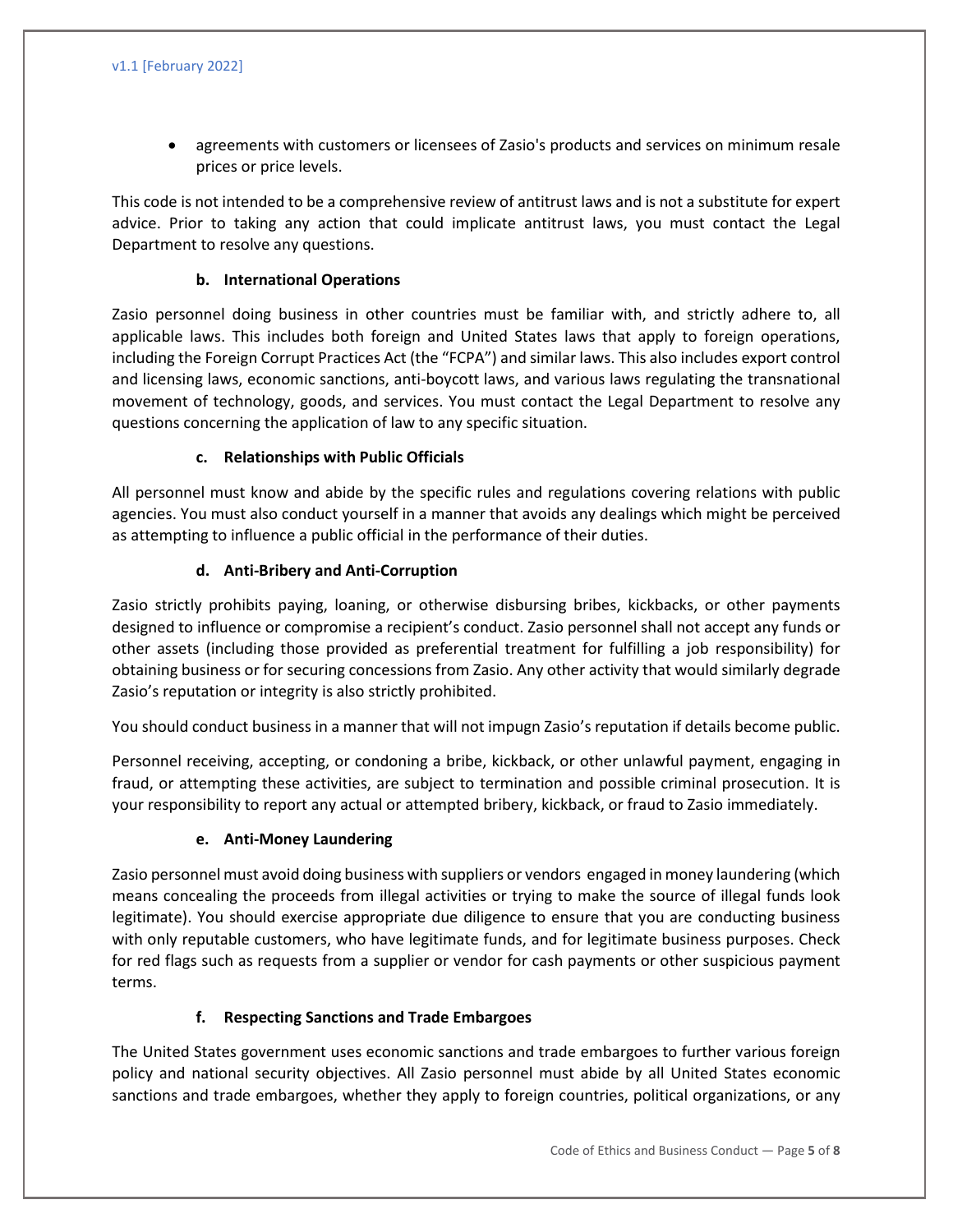• agreements with customers or licensees of Zasio's products and services on minimum resale prices or price levels.

This code is not intended to be a comprehensive review of antitrust laws and is not a substitute for expert advice. Prior to taking any action that could implicate antitrust laws, you must contact the Legal Department to resolve any questions.

#### **b. International Operations**

Zasio personnel doing business in other countries must be familiar with, and strictly adhere to, all applicable laws. This includes both foreign and United States laws that apply to foreign operations, including the Foreign Corrupt Practices Act (the "FCPA") and similar laws. This also includes export control and licensing laws, economic sanctions, anti-boycott laws, and various laws regulating the transnational movement of technology, goods, and services. You must contact the Legal Department to resolve any questions concerning the application of law to any specific situation.

#### **c. Relationships with Public Officials**

All personnel must know and abide by the specific rules and regulations covering relations with public agencies. You must also conduct yourself in a manner that avoids any dealings which might be perceived as attempting to influence a public official in the performance of their duties.

#### **d. Anti-Bribery and Anti-Corruption**

Zasio strictly prohibits paying, loaning, or otherwise disbursing bribes, kickbacks, or other payments designed to influence or compromise a recipient's conduct. Zasio personnel shall not accept any funds or other assets (including those provided as preferential treatment for fulfilling a job responsibility) for obtaining business or for securing concessions from Zasio. Any other activity that would similarly degrade Zasio's reputation or integrity is also strictly prohibited.

You should conduct business in a manner that will not impugn Zasio's reputation if details become public.

Personnel receiving, accepting, or condoning a bribe, kickback, or other unlawful payment, engaging in fraud, or attempting these activities, are subject to termination and possible criminal prosecution. It is your responsibility to report any actual or attempted bribery, kickback, or fraud to Zasio immediately.

#### **e. Anti-Money Laundering**

Zasio personnel must avoid doing business with suppliers or vendors engaged in money laundering (which means concealing the proceeds from illegal activities or trying to make the source of illegal funds look legitimate). You should exercise appropriate due diligence to ensure that you are conducting business with only reputable customers, who have legitimate funds, and for legitimate business purposes. Check for red flags such as requests from a supplier or vendor for cash payments or other suspicious payment terms.

#### **f. Respecting Sanctions and Trade Embargoes**

The United States government uses economic sanctions and trade embargoes to further various foreign policy and national security objectives. All Zasio personnel must abide by all United States economic sanctions and trade embargoes, whether they apply to foreign countries, political organizations, or any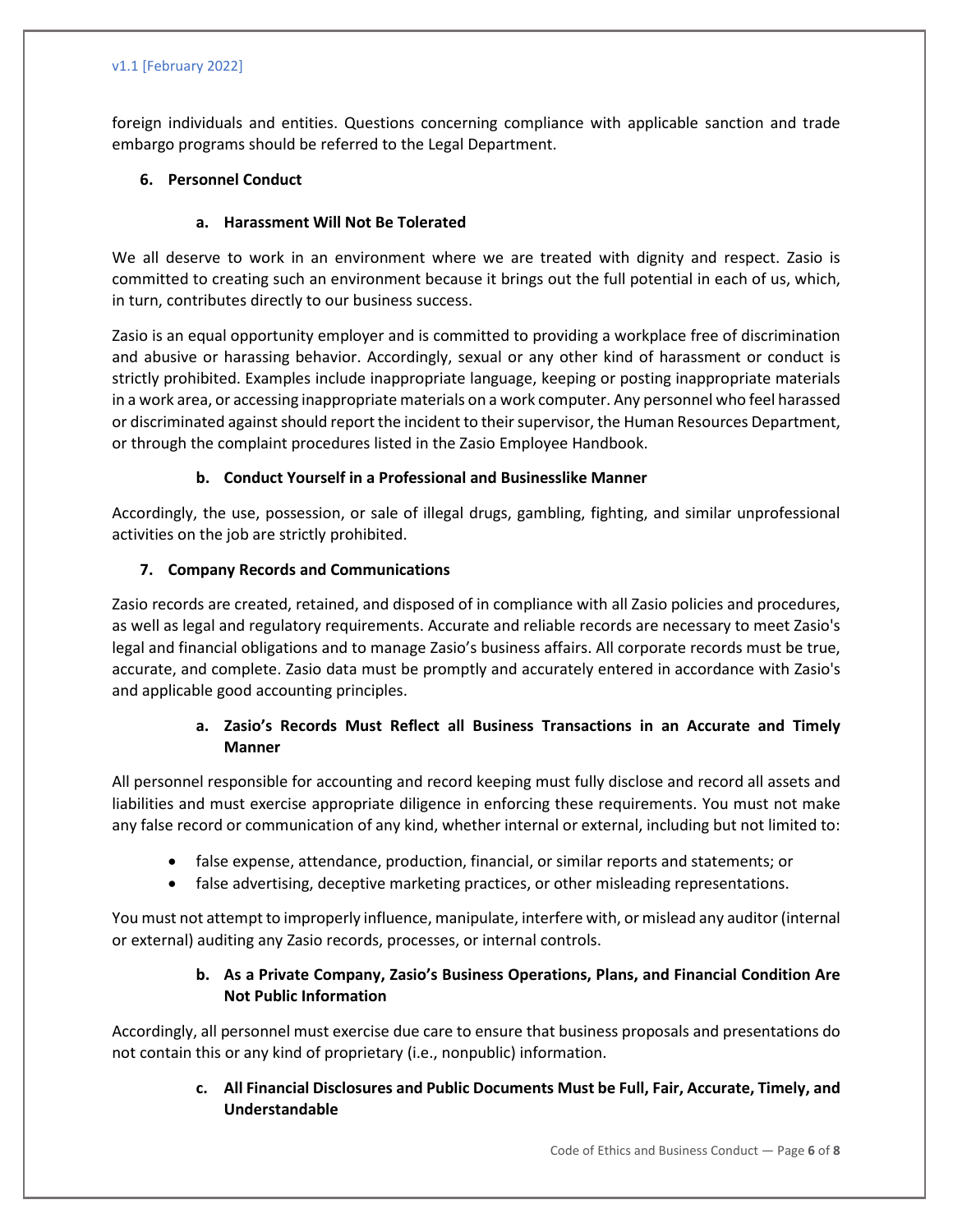#### v1.1 [February 2022]

foreign individuals and entities. Questions concerning compliance with applicable sanction and trade embargo programs should be referred to the Legal Department.

#### **6. Personnel Conduct**

#### **a. Harassment Will Not Be Tolerated**

We all deserve to work in an environment where we are treated with dignity and respect. Zasio is committed to creating such an environment because it brings out the full potential in each of us, which, in turn, contributes directly to our business success.

Zasio is an equal opportunity employer and is committed to providing a workplace free of discrimination and abusive or harassing behavior. Accordingly, sexual or any other kind of harassment or conduct is strictly prohibited. Examples include inappropriate language, keeping or posting inappropriate materials in a work area, or accessing inappropriate materials on a work computer. Any personnel who feel harassed or discriminated against should report the incident to their supervisor, the Human Resources Department, or through the complaint procedures listed in the Zasio Employee Handbook.

#### **b. Conduct Yourself in a Professional and Businesslike Manner**

Accordingly, the use, possession, or sale of illegal drugs, gambling, fighting, and similar unprofessional activities on the job are strictly prohibited.

#### **7. Company Records and Communications**

Zasio records are created, retained, and disposed of in compliance with all Zasio policies and procedures, as well as legal and regulatory requirements. Accurate and reliable records are necessary to meet Zasio's legal and financial obligations and to manage Zasio's business affairs. All corporate records must be true, accurate, and complete. Zasio data must be promptly and accurately entered in accordance with Zasio's and applicable good accounting principles.

#### **a. Zasio's Records Must Reflect all Business Transactions in an Accurate and Timely Manner**

All personnel responsible for accounting and record keeping must fully disclose and record all assets and liabilities and must exercise appropriate diligence in enforcing these requirements. You must not make any false record or communication of any kind, whether internal or external, including but not limited to:

- false expense, attendance, production, financial, or similar reports and statements; or
- false advertising, deceptive marketing practices, or other misleading representations.

You must not attempt to improperly influence, manipulate, interfere with, or mislead any auditor(internal or external) auditing any Zasio records, processes, or internal controls.

#### **b. As a Private Company, Zasio's Business Operations, Plans, and Financial Condition Are Not Public Information**

Accordingly, all personnel must exercise due care to ensure that business proposals and presentations do not contain this or any kind of proprietary (i.e., nonpublic) information.

#### **c. All Financial Disclosures and Public Documents Must be Full, Fair, Accurate, Timely, and Understandable**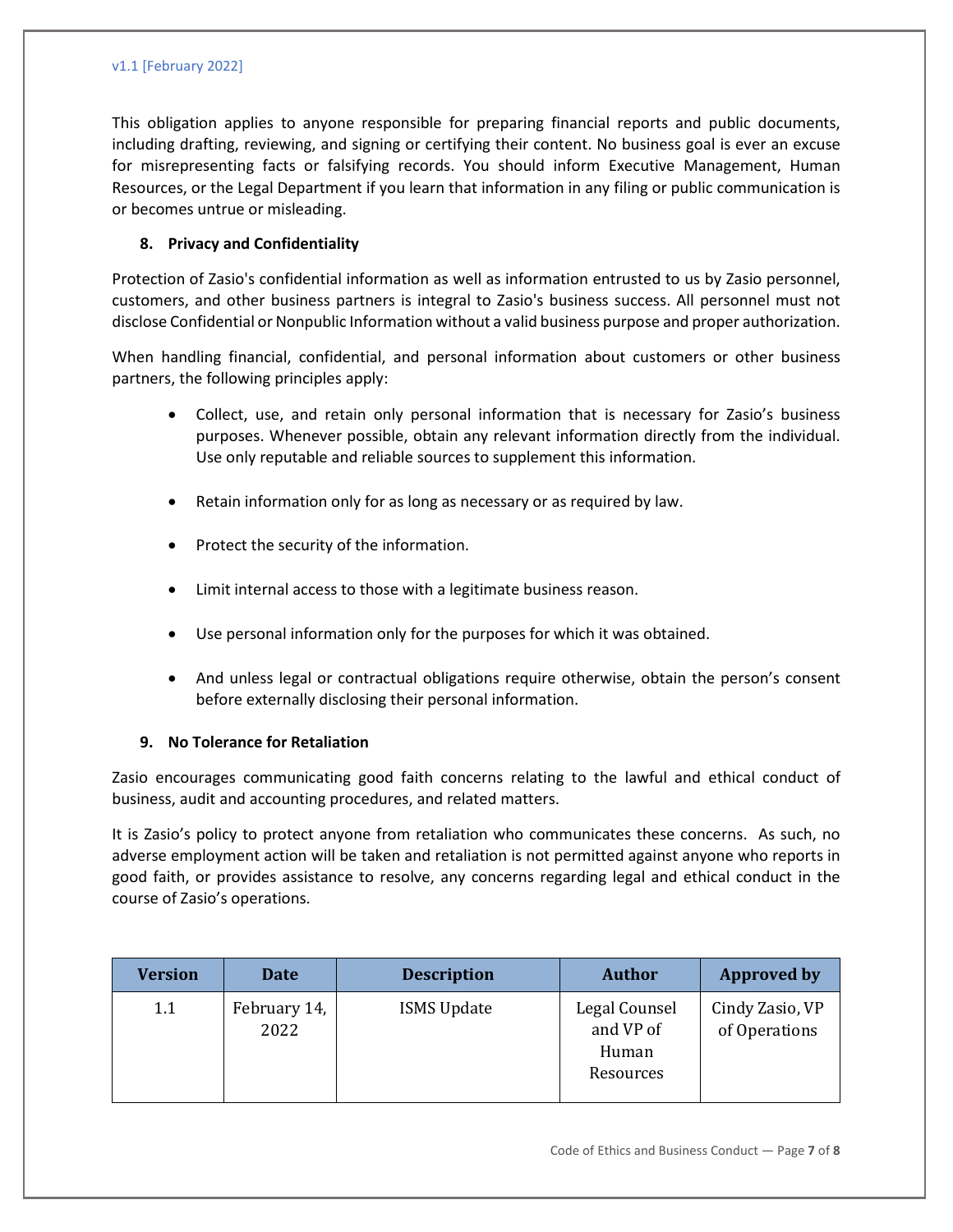#### v1.1 [February 2022]

This obligation applies to anyone responsible for preparing financial reports and public documents, including drafting, reviewing, and signing or certifying their content. No business goal is ever an excuse for misrepresenting facts or falsifying records. You should inform Executive Management, Human Resources, or the Legal Department if you learn that information in any filing or public communication is or becomes untrue or misleading.

#### **8. Privacy and Confidentiality**

Protection of Zasio's confidential information as well as information entrusted to us by Zasio personnel, customers, and other business partners is integral to Zasio's business success. All personnel must not disclose Confidential or Nonpublic Information without a valid business purpose and proper authorization.

When handling financial, confidential, and personal information about customers or other business partners, the following principles apply:

- Collect, use, and retain only personal information that is necessary for Zasio's business purposes. Whenever possible, obtain any relevant information directly from the individual. Use only reputable and reliable sources to supplement this information.
- Retain information only for as long as necessary or as required by law.
- Protect the security of the information.
- Limit internal access to those with a legitimate business reason.
- Use personal information only for the purposes for which it was obtained.
- And unless legal or contractual obligations require otherwise, obtain the person's consent before externally disclosing their personal information.

#### **9. No Tolerance for Retaliation**

Zasio encourages communicating good faith concerns relating to the lawful and ethical conduct of business, audit and accounting procedures, and related matters.

It is Zasio's policy to protect anyone from retaliation who communicates these concerns. As such, no adverse employment action will be taken and retaliation is not permitted against anyone who reports in good faith, or provides assistance to resolve, any concerns regarding legal and ethical conduct in the course of Zasio's operations.

| <b>Version</b> | Date                 | <b>Description</b> | <b>Author</b>                                    | <b>Approved by</b>               |
|----------------|----------------------|--------------------|--------------------------------------------------|----------------------------------|
| 1.1            | February 14,<br>2022 | <b>ISMS Update</b> | Legal Counsel<br>and VP of<br>Human<br>Resources | Cindy Zasio, VP<br>of Operations |